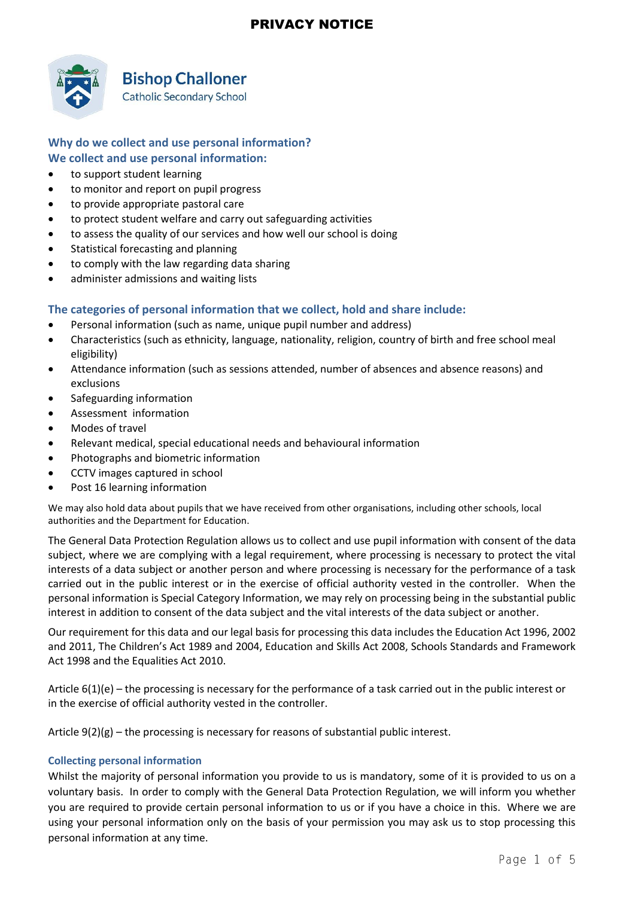

## **Bishop Challoner**

**Catholic Secondary School** 

### **Why do we collect and use personal information? We collect and use personal information:**

- to support student learning
- to monitor and report on pupil progress
- to provide appropriate pastoral care
- to protect student welfare and carry out safeguarding activities
- to assess the quality of our services and how well our school is doing
- Statistical forecasting and planning
- to comply with the law regarding data sharing
- administer admissions and waiting lists

### **The categories of personal information that we collect, hold and share include:**

- Personal information (such as name, unique pupil number and address)
- Characteristics (such as ethnicity, language, nationality, religion, country of birth and free school meal eligibility)
- Attendance information (such as sessions attended, number of absences and absence reasons) and exclusions
- Safeguarding information
- Assessment information
- Modes of travel
- Relevant medical, special educational needs and behavioural information
- Photographs and biometric information
- CCTV images captured in school
- Post 16 learning information

We may also hold data about pupils that we have received from other organisations, including other schools, local authorities and the Department for Education.

The General Data Protection Regulation allows us to collect and use pupil information with consent of the data subject, where we are complying with a legal requirement, where processing is necessary to protect the vital interests of a data subject or another person and where processing is necessary for the performance of a task carried out in the public interest or in the exercise of official authority vested in the controller. When the personal information is Special Category Information, we may rely on processing being in the substantial public interest in addition to consent of the data subject and the vital interests of the data subject or another.

Our requirement for this data and our legal basis for processing this data includes the Education Act 1996, 2002 and 2011, The Children's Act 1989 and 2004, Education and Skills Act 2008, Schools Standards and Framework Act 1998 and the Equalities Act 2010.

Article 6(1)(e) – the processing is necessary for the performance of a task carried out in the public interest or in the exercise of official authority vested in the controller.

Article  $9(2)(g)$  – the processing is necessary for reasons of substantial public interest.

#### **Collecting personal information**

Whilst the majority of personal information you provide to us is mandatory, some of it is provided to us on a voluntary basis. In order to comply with the General Data Protection Regulation, we will inform you whether you are required to provide certain personal information to us or if you have a choice in this. Where we are using your personal information only on the basis of your permission you may ask us to stop processing this personal information at any time.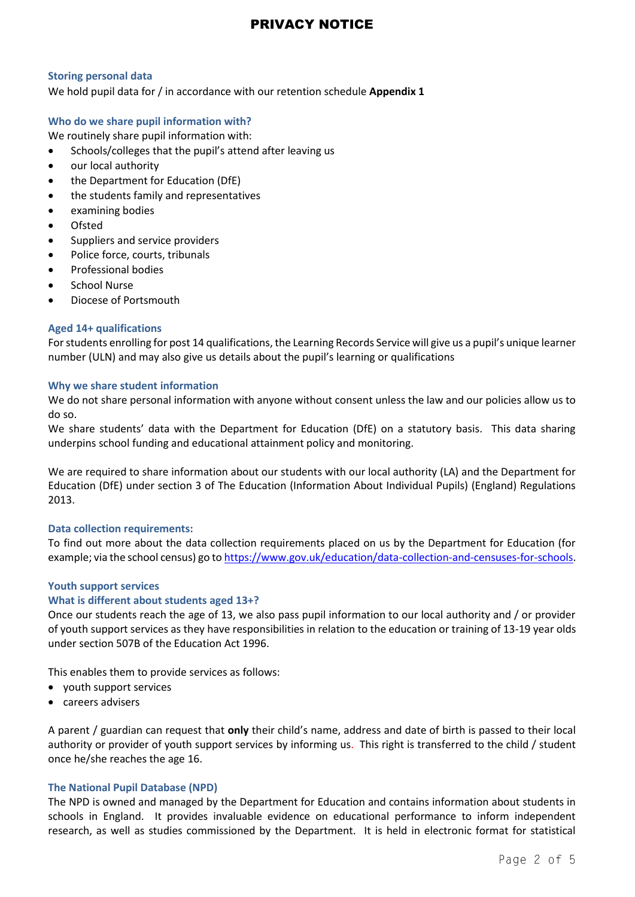#### **Storing personal data**

We hold pupil data for / in accordance with our retention schedule **Appendix 1**

#### **Who do we share pupil information with?**

We routinely share pupil information with:

- Schools/colleges that the pupil's attend after leaving us
- our local authority
- the Department for Education (DfE)
- the students family and representatives
- examining bodies
- Ofsted
- Suppliers and service providers
- Police force, courts, tribunals
- Professional bodies
- School Nurse
- Diocese of Portsmouth

#### **Aged 14+ qualifications**

For students enrolling for post 14 qualifications, the Learning Records Service will give us a pupil's unique learner number (ULN) and may also give us details about the pupil's learning or qualifications

#### **Why we share student information**

We do not share personal information with anyone without consent unless the law and our policies allow us to do so.

We share students' data with the Department for Education (DfE) on a statutory basis. This data sharing underpins school funding and educational attainment policy and monitoring.

We are required to share information about our students with our local authority (LA) and the Department for Education (DfE) under section 3 of The Education (Information About Individual Pupils) (England) Regulations 2013.

#### **Data collection requirements:**

To find out more about the data collection requirements placed on us by the Department for Education (for example; via the school census) go t[o https://www.gov.uk/education/data-collection-and-censuses-for-schools.](https://www.gov.uk/education/data-collection-and-censuses-for-schools)

#### **Youth support services**

#### **What is different about students aged 13+?**

Once our students reach the age of 13, we also pass pupil information to our local authority and / or provider of youth support services as they have responsibilities in relation to the education or training of 13-19 year olds under section 507B of the Education Act 1996.

This enables them to provide services as follows:

- youth support services
- careers advisers

A parent / guardian can request that **only** their child's name, address and date of birth is passed to their local authority or provider of youth support services by informing us. This right is transferred to the child / student once he/she reaches the age 16.

#### **The National Pupil Database (NPD)**

The NPD is owned and managed by the Department for Education and contains information about students in schools in England. It provides invaluable evidence on educational performance to inform independent research, as well as studies commissioned by the Department. It is held in electronic format for statistical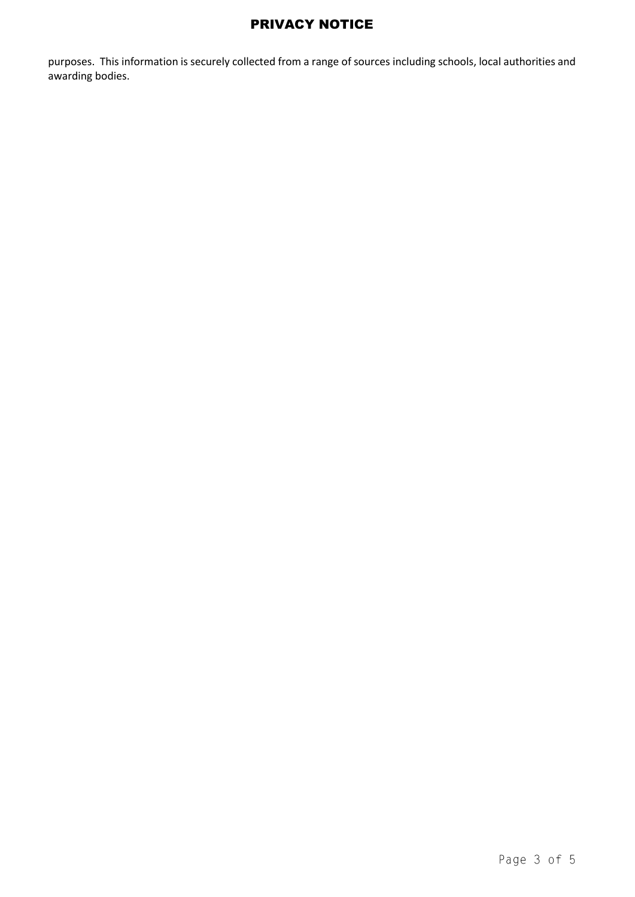purposes. This information is securely collected from a range of sources including schools, local authorities and awarding bodies.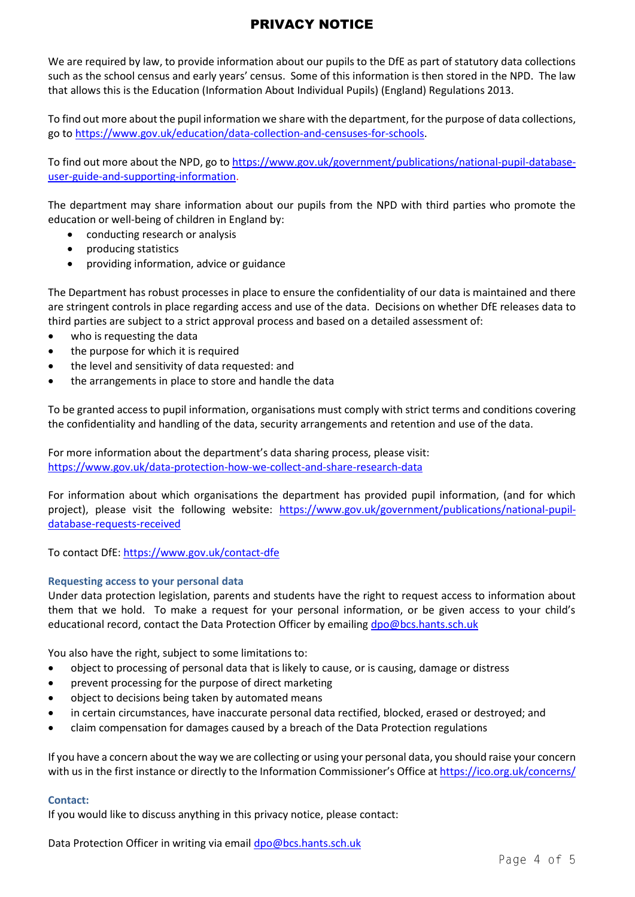We are required by law, to provide information about our pupils to the DfE as part of statutory data collections such as the school census and early years' census. Some of this information is then stored in the NPD. The law that allows this is the Education (Information About Individual Pupils) (England) Regulations 2013.

To find out more about the pupil information we share with the department, for the purpose of data collections, go t[o https://www.gov.uk/education/data-collection-and-censuses-for-schools.](https://www.gov.uk/education/data-collection-and-censuses-for-schools)

To find out more about the NPD, go t[o https://www.gov.uk/government/publications/national-pupil-database](https://www.gov.uk/government/publications/national-pupil-database-user-guide-and-supporting-information)[user-guide-and-supporting-information.](https://www.gov.uk/government/publications/national-pupil-database-user-guide-and-supporting-information)

The department may share information about our pupils from the NPD with third parties who promote the education or well-being of children in England by:

- conducting research or analysis
- producing statistics
- providing information, advice or guidance

The Department has robust processes in place to ensure the confidentiality of our data is maintained and there are stringent controls in place regarding access and use of the data. Decisions on whether DfE releases data to third parties are subject to a strict approval process and based on a detailed assessment of:

- who is requesting the data
- the purpose for which it is required
- the level and sensitivity of data requested: and
- the arrangements in place to store and handle the data

To be granted access to pupil information, organisations must comply with strict terms and conditions covering the confidentiality and handling of the data, security arrangements and retention and use of the data.

For more information about the department's data sharing process, please visit: <https://www.gov.uk/data-protection-how-we-collect-and-share-research-data>

For information about which organisations the department has provided pupil information, (and for which project), please visit the following website: [https://www.gov.uk/government/publications/national-pupil](https://www.gov.uk/government/publications/national-pupil-database-requests-received)[database-requests-received](https://www.gov.uk/government/publications/national-pupil-database-requests-received)

To contact DfE[: https://www.gov.uk/contact-dfe](https://www.gov.uk/contact-dfe)

#### **Requesting access to your personal data**

Under data protection legislation, parents and students have the right to request access to information about them that we hold. To make a request for your personal information, or be given access to your child's educational record, contact the Data Protection Officer by emailing [dpo@bcs.hants.sch.uk](mailto:dpo@bcs.hants.sch.uk)

You also have the right, subject to some limitations to:

- object to processing of personal data that is likely to cause, or is causing, damage or distress
- prevent processing for the purpose of direct marketing
- object to decisions being taken by automated means
- in certain circumstances, have inaccurate personal data rectified, blocked, erased or destroyed; and
- claim compensation for damages caused by a breach of the Data Protection regulations

If you have a concern about the way we are collecting or using your personal data, you should raise your concern with us in the first instance or directly to the Information Commissioner's Office a[t https://ico.org.uk/concerns/](https://ico.org.uk/concerns/)

#### **Contact:**

If you would like to discuss anything in this privacy notice, please contact:

Data Protection Officer in writing via email [dpo@bcs.hants.sch.uk](mailto:dpo@bcs.hants.sch.uk)